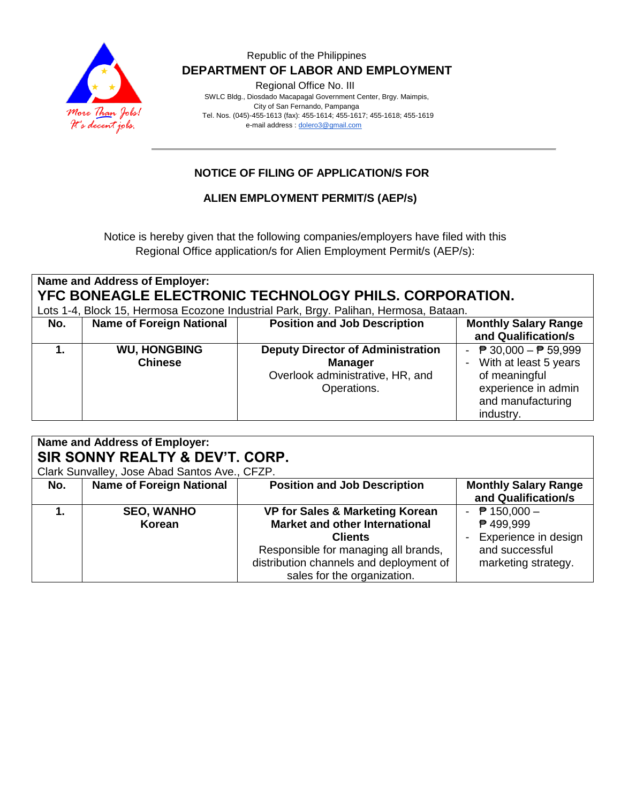

### Republic of the Philippines  **DEPARTMENT OF LABOR AND EMPLOYMENT**

Regional Office No. III

 SWLC Bldg., Diosdado Macapagal Government Center, Brgy. Maimpis, City of San Fernando, Pampanga Tel. Nos. (045)-455-1613 (fax): 455-1614; 455-1617; 455-1618; 455-1619 e-mail address [: dolero3@gmail.com](mailto:dolero3@gmail.com)

# **NOTICE OF FILING OF APPLICATION/S FOR**

## **ALIEN EMPLOYMENT PERMIT/S (AEP/s)**

Notice is hereby given that the following companies/employers have filed with this Regional Office application/s for Alien Employment Permit/s (AEP/s):

| Name and Address of Employer:<br>YFC BONEAGLE ELECTRONIC TECHNOLOGY PHILS. CORPORATION. |                                       |                                                                                                               |                                                                                                                                                    |  |  |  |
|-----------------------------------------------------------------------------------------|---------------------------------------|---------------------------------------------------------------------------------------------------------------|----------------------------------------------------------------------------------------------------------------------------------------------------|--|--|--|
| Lots 1-4, Block 15, Hermosa Ecozone Industrial Park, Brgy. Palihan, Hermosa, Bataan.    |                                       |                                                                                                               |                                                                                                                                                    |  |  |  |
| No.                                                                                     | <b>Name of Foreign National</b>       | <b>Position and Job Description</b>                                                                           | <b>Monthly Salary Range</b><br>and Qualification/s                                                                                                 |  |  |  |
|                                                                                         | <b>WU, HONGBING</b><br><b>Chinese</b> | <b>Deputy Director of Administration</b><br><b>Manager</b><br>Overlook administrative, HR, and<br>Operations. | - $\overline{P}$ 30,000 - $\overline{P}$ 59,999<br>With at least 5 years<br>of meaningful<br>experience in admin<br>and manufacturing<br>industry. |  |  |  |

| Name and Address of Employer:<br>SIR SONNY REALTY & DEV'T. CORP.<br>Clark Sunvalley, Jose Abad Santos Ave., CFZP. |                                 |                                                                                                                                                                                                                         |                                                                                               |  |  |  |
|-------------------------------------------------------------------------------------------------------------------|---------------------------------|-------------------------------------------------------------------------------------------------------------------------------------------------------------------------------------------------------------------------|-----------------------------------------------------------------------------------------------|--|--|--|
| No.                                                                                                               | <b>Name of Foreign National</b> | <b>Position and Job Description</b>                                                                                                                                                                                     | <b>Monthly Salary Range</b><br>and Qualification/s                                            |  |  |  |
|                                                                                                                   | <b>SEO, WANHO</b><br>Korean     | <b>VP for Sales &amp; Marketing Korean</b><br><b>Market and other International</b><br><b>Clients</b><br>Responsible for managing all brands,<br>distribution channels and deployment of<br>sales for the organization. | - $P$ 150,000 -<br>₱ 499,999<br>Experience in design<br>and successful<br>marketing strategy. |  |  |  |